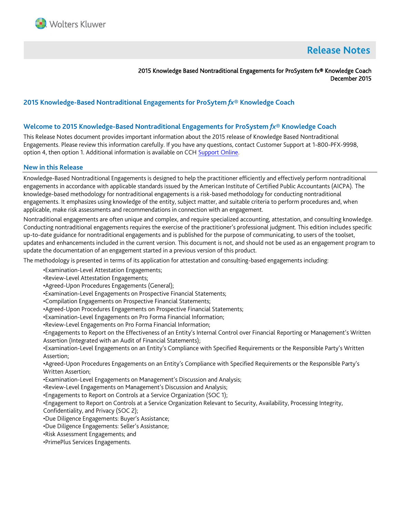

# **Release Notes**

2015 Knowledge Based Nontraditional Engagements for ProSystem fx® Knowledge Coach December 2015

# **2015 Knowledge-Based Nontraditional Engagements for ProSytem** *fx***® Knowledge Coach**

#### **Welcome to 2015 Knowledge-Based Nontraditional Engagements for ProSystem** *fx***® Knowledge Coach**

This Release Notes document provides important information about the 2015 release of Knowledge Based Nontraditional Engagements. Please review this information carefully. If you have any questions, contact Customer Support at 1-800-PFX-9998, option 4, then option 1. Additional information is available on CC[H Support Online.](http://support.cch.com/productsupport/)

#### **New in this Release**

Knowledge-Based Nontraditional Engagements is designed to help the practitioner efficiently and effectively perform nontraditional engagements in accordance with applicable standards issued by the American Institute of Certified Public Accountants (AICPA). The knowledge-based methodology for nontraditional engagements is a risk-based methodology for conducting nontraditional engagements. It emphasizes using knowledge of the entity, subject matter, and suitable criteria to perform procedures and, when applicable, make risk assessments and recommendations in connection with an engagement.

Nontraditional engagements are often unique and complex, and require specialized accounting, attestation, and consulting knowledge. Conducting nontraditional engagements requires the exercise of the practitioner's professional judgment. This edition includes specific up-to-date guidance for nontraditional engagements and is published for the purpose of communicating, to users of the toolset, updates and enhancements included in the current version. This document is not, and should not be used as an engagement program to update the documentation of an engagement started in a previous version of this product.

The methodology is presented in terms of its application for attestation and consulting-based engagements including:

•Examination-Level Attestation Engagements;

- •Review-Level Attestation Engagements;
- •Agreed-Upon Procedures Engagements (General);
- •Examination-Level Engagements on Prospective Financial Statements;
- •Compilation Engagements on Prospective Financial Statements;
- •Agreed-Upon Procedures Engagements on Prospective Financial Statements;
- •Examination-Level Engagements on Pro Forma Financial Information;
- •Review-Level Engagements on Pro Forma Financial Information;

•Engagements to Report on the Effectiveness of an Entity's Internal Control over Financial Reporting or Management's Written Assertion (Integrated with an Audit of Financial Statements);

•Examination-Level Engagements on an Entity's Compliance with Specified Requirements or the Responsible Party's Written Assertion;

•Agreed-Upon Procedures Engagements on an Entity's Compliance with Specified Requirements or the Responsible Party's Written Assertion;

- •Examination-Level Engagements on Management's Discussion and Analysis;
- •Review-Level Engagements on Management's Discussion and Analysis;

•Engagements to Report on Controls at a Service Organization (SOC 1);

•Engagement to Report on Controls at a Service Organization Relevant to Security, Availability, Processing Integrity,

Confidentiality, and Privacy (SOC 2);

- •Due Diligence Engagements: Buyer's Assistance;
- •Due Diligence Engagements: Seller's Assistance;
- •Risk Assessment Engagements; and
- •PrimePlus Services Engagements.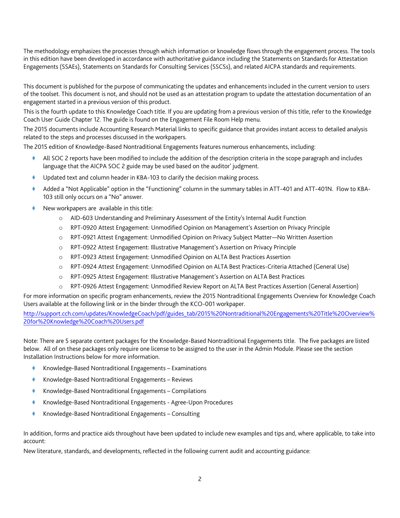The methodology emphasizes the processes through which information or knowledge flows through the engagement process. The tools in this edition have been developed in accordance with authoritative guidance including the Statements on Standards for Attestation Engagements (SSAEs), Statements on Standards for Consulting Services (SSCSs), and related AICPA standards and requirements.

This document is published for the purpose of communicating the updates and enhancements included in the current version to users of the toolset. This document is not, and should not be used as an attestation program to update the attestation documentation of an engagement started in a previous version of this product.

This is the fourth update to this Knowledge Coach title. If you are updating from a previous version of this title, refer to the Knowledge Coach User Guide Chapter 12. The guide is found on the Engagement File Room Help menu.

The 2015 documents include Accounting Research Material links to specific guidance that provides instant access to detailed analysis related to the steps and processes discussed in the workpapers.

The 2015 edition of Knowledge-Based Nontraditional Engagements features numerous enhancements, including:

- All SOC 2 reports have been modified to include the addition of the description criteria in the scope paragraph and includes language that the AICPA SOC 2 guide may be used based on the auditor' judgment.
- Updated text and column header in KBA-103 to clarify the decision making process.
- Added a "Not Applicable" option in the "Functioning" column in the summary tables in ATT-401 and ATT-401N. Flow to KBA-103 still only occurs on a "No" answer.
- New workpapers are available in this title:
	- o AID-603 Understanding and Preliminary Assessment of the Entity's Internal Audit Function
	- o RPT-0920 Attest Engagement: Unmodified Opinion on Management's Assertion on Privacy Principle
	- o RPT-0921 Attest Engagement: Unmodified Opinion on Privacy Subject Matter—No Written Assertion
	- o RPT-0922 Attest Engagement: Illustrative Management's Assertion on Privacy Principle
	- o RPT-0923 Attest Engagement: Unmodified Opinion on ALTA Best Practices Assertion
	- o RPT-0924 Attest Engagement: Unmodified Opinion on ALTA Best Practices-Criteria Attached (General Use)
	- o RPT-0925 Attest Engagement: Illustrative Management's Assertion on ALTA Best Practices
	- o RPT-0926 Attest Engagement: Unmodified Review Report on ALTA Best Practices Assertion (General Assertion)

For more information on specific program enhancements, review the 2015 Nontraditional Engagements Overview for Knowledge Coach Users available at the following link or in the binder through the KCO-001 workpaper.

[http://support.cch.com/updates/KnowledgeCoach/pdf/guides\\_tab/2015%20Nontraditional%20Engagements%20Title%20Overview%](http://support.cch.com/updates/KnowledgeCoach/pdf/guides_tab/2015%20Nontraditional%20Engagements%20Title%20Overview%20for%20Knowledge%20Coach%20Users.pdf) [20for%20Knowledge%20Coach%20Users.pdf](http://support.cch.com/updates/KnowledgeCoach/pdf/guides_tab/2015%20Nontraditional%20Engagements%20Title%20Overview%20for%20Knowledge%20Coach%20Users.pdf)

Note: There are 5 separate content packages for the Knowledge-Based Nontraditional Engagements title. The five packages are listed below. All of on these packages only require one license to be assigned to the user in the Admin Module. Please see the section Installation Instructions below for more information.

- Knowledge-Based Nontraditional Engagements Examinations
- ◆ Knowledge-Based Nontraditional Engagements Reviews
- Knowledge-Based Nontraditional Engagements Compilations
- Knowledge-Based Nontraditional Engagements Agree-Upon Procedures
- Knowledge-Based Nontraditional Engagements Consulting

In addition, forms and practice aids throughout have been updated to include new examples and tips and, where applicable, to take into account:

New literature, standards, and developments, reflected in the following current audit and accounting guidance: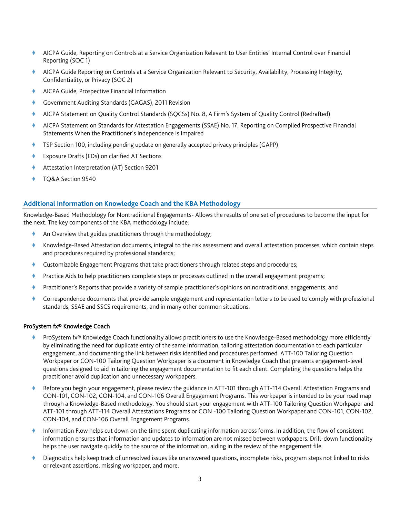- AICPA Guide, Reporting on Controls at a Service Organization Relevant to User Entities' Internal Control over Financial Reporting (SOC 1)
- AICPA Guide Reporting on Controls at a Service Organization Relevant to Security, Availability, Processing Integrity, Confidentiality, or Privacy (SOC 2)
- AICPA Guide, Prospective Financial Information
- Government Auditing Standards (GAGAS), 2011 Revision
- AICPA Statement on Quality Control Standards (SQCSs) No. 8, A Firm's System of Quality Control (Redrafted)
- AICPA Statement on Standards for Attestation Engagements (SSAE) No. 17, Reporting on Compiled Prospective Financial Statements When the Practitioner's Independence Is Impaired
- TSP Section 100, including pending update on generally accepted privacy principles (GAPP)
- Exposure Drafts (EDs) on clarified AT Sections
- Attestation Interpretation (AT) Section 9201
- TQ&A Section 9540

### **Additional Information on Knowledge Coach and the KBA Methodology**

Knowledge-Based Methodology for Nontraditional Engagements- Allows the results of one set of procedures to become the input for the next. The key components of the KBA methodology include:

- An Overview that guides practitioners through the methodology;
- Knowledge-Based Attestation documents, integral to the risk assessment and overall attestation processes, which contain steps and procedures required by professional standards;
- Customizable Engagement Programs that take practitioners through related steps and procedures;
- Practice Aids to help practitioners complete steps or processes outlined in the overall engagement programs;
- Practitioner's Reports that provide a variety of sample practitioner's opinions on nontraditional engagements; and
- Correspondence documents that provide sample engagement and representation letters to be used to comply with professional standards, SSAE and SSCS requirements, and in many other common situations.

#### ProSystem fx® Knowledge Coach

- ProSystem fx® Knowledge Coach functionality allows practitioners to use the Knowledge-Based methodology more efficiently by eliminating the need for duplicate entry of the same information, tailoring attestation documentation to each particular engagement, and documenting the link between risks identified and procedures performed. ATT-100 Tailoring Question Workpaper or CON-100 Tailoring Question Workpaper is a document in Knowledge Coach that presents engagement-level questions designed to aid in tailoring the engagement documentation to fit each client. Completing the questions helps the practitioner avoid duplication and unnecessary workpapers.
- Before you begin your engagement, please review the guidance in ATT-101 through ATT-114 Overall Attestation Programs and CON-101, CON-102, CON-104, and CON-106 Overall Engagement Programs. This workpaper is intended to be your road map through a Knowledge-Based methodology. You should start your engagement with ATT-100 Tailoring Question Workpaper and ATT-101 through ATT-114 Overall Attestations Programs or CON -100 Tailoring Question Workpaper and CON-101, CON-102, CON-104, and CON-106 Overall Engagement Programs.
- Information Flow helps cut down on the time spent duplicating information across forms. In addition, the flow of consistent information ensures that information and updates to information are not missed between workpapers. Drill-down functionality helps the user navigate quickly to the source of the information, aiding in the review of the engagement file.
- Diagnostics help keep track of unresolved issues like unanswered questions, incomplete risks, program steps not linked to risks or relevant assertions, missing workpaper, and more.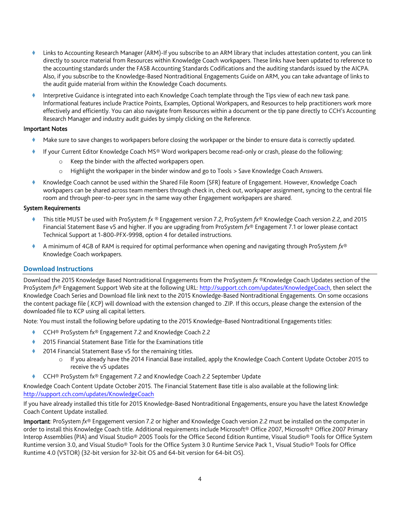- Links to Accounting Research Manager (ARM)-If you subscribe to an ARM library that includes attestation content, you can link directly to source material from Resources within Knowledge Coach workpapers. These links have been updated to reference to the accounting standards under the FASB Accounting Standards Codifications and the auditing standards issued by the AICPA. Also, if you subscribe to the Knowledge-Based Nontraditional Engagements Guide on ARM, you can take advantage of links to the audit guide material from within the Knowledge Coach documents.
- Interpretive Guidance is integrated into each Knowledge Coach template through the Tips view of each new task pane. Informational features include Practice Points, Examples, Optional Workpapers, and Resources to help practitioners work more effectively and efficiently. You can also navigate from Resources within a document or the tip pane directly to CCH's Accounting Research Manager and industry audit guides by simply clicking on the Reference.

## Important Notes

- Make sure to save changes to workpapers before closing the workpaper or the binder to ensure data is correctly updated.
- If your Current Editor Knowledge Coach MS® Word workpapers become read-only or crash, please do the following:
	- o Keep the binder with the affected workpapers open.
	- o Highlight the workpaper in the binder window and go to Tools > Save Knowledge Coach Answers.
- Knowledge Coach cannot be used within the Shared File Room (SFR) feature of Engagement. However, Knowledge Coach workpapers can be shared across team members through check in, check out, workpaper assignment, syncing to the central file room and through peer-to-peer sync in the same way other Engagement workpapers are shared.

## System Requirements

- This title MUST be used with ProSystem *fx* ® Engagement version 7.2, ProSystem *fx*® Knowledge Coach version 2.2, and 2015 Financial Statement Base v5 and higher. If you are upgrading from ProSystem *fx*® Engagement 7.1 or lower please contact Technical Support at 1-800-PFX-9998, option 4 for detailed instructions.
- A minimum of 4GB of RAM is required for optimal performance when opening and navigating through ProSystem *fx*® Knowledge Coach workpapers.

# **Download Instructions**

Download the 2015 Knowledge Based Nontraditional Engagements from the ProSystem *fx* ®Knowledge Coach Updates section of the ProSystem *fx*® Engagement Support Web site at the following URL[: http://support.cch.com/updates/KnowledgeCoach,](http://support.cch.com/updates/KnowledgeCoach) then select the Knowledge Coach Series and Download file link next to the 2015 Knowledge-Based Nontraditional Engagements. On some occasions the content package file (.KCP) will download with the extension changed to .ZIP. If this occurs, please change the extension of the downloaded file to KCP using all capital letters.

Note: You must install the following before updating to the 2015 Knowledge-Based Nontraditional Engagements titles:

- CCH® ProSystem fx® Engagement 7.2 and Knowledge Coach 2.2
- 2015 Financial Statement Base Title for the Examinations title
- 2014 Financial Statement Base v5 for the remaining titles.
	- o If you already have the 2014 Financial Base installed, apply the Knowledge Coach Content Update October 2015 to receive the v5 updates
- ◆ CCH® ProSystem fx® Engagement 7.2 and Knowledge Coach 2.2 September Update

Knowledge Coach Content Update October 2015. The Financial Statement Base title is also available at the following link: <http://support.cch.com/updates/KnowledgeCoach>

If you have already installed this title for 2015 Knowledge-Based Nontraditional Engagements, ensure you have the latest Knowledge Coach Content Update installed.

Important: ProSystem *fx*® Engagement version 7.2 or higher and Knowledge Coach version 2.2 must be installed on the computer in order to install this Knowledge Coach title. Additional requirements include Microsoft® Office 2007, Microsoft® Office 2007 Primary Interop Assemblies (PIA) and Visual Studio® 2005 Tools for the Office Second Edition Runtime, Visual Studio® Tools for Office System Runtime version 3.0, and Visual Studio® Tools for the Office System 3.0 Runtime Service Pack 1., Visual Studio® Tools for Office Runtime 4.0 (VSTOR) (32-bit version for 32-bit OS and 64-bit version for 64-bit OS).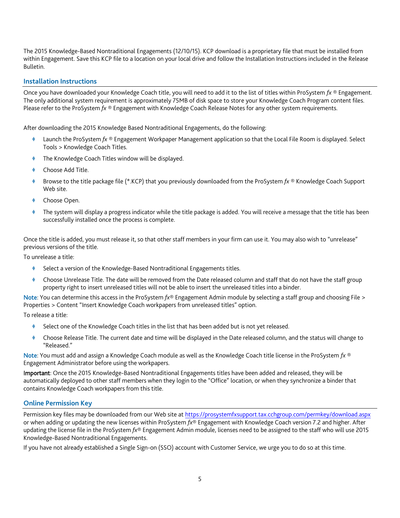The 2015 Knowledge-Based Nontraditional Engagements (12/10/15). KCP download is a proprietary file that must be installed from within Engagement. Save this KCP file to a location on your local drive and follow the Installation Instructions included in the Release Bulletin.

## **Installation Instructions**

Once you have downloaded your Knowledge Coach title, you will need to add it to the list of titles within ProSystem *fx* ® Engagement. The only additional system requirement is approximately 75MB of disk space to store your Knowledge Coach Program content files. Please refer to the ProSystem *fx* ® Engagement with Knowledge Coach Release Notes for any other system requirements.

After downloading the 2015 Knowledge Based Nontraditional Engagements, do the following:

- Launch the ProSystem *fx* ® Engagement Workpaper Management application so that the Local File Room is displayed. Select Tools > Knowledge Coach Titles.
- The Knowledge Coach Titles window will be displayed.
- Choose Add Title.
- Browse to the title package file (\*.KCP) that you previously downloaded from the ProSystem *fx* ® Knowledge Coach Support Web site.
- Choose Open.
- The system will display a progress indicator while the title package is added. You will receive a message that the title has been successfully installed once the process is complete.

Once the title is added, you must release it, so that other staff members in your firm can use it. You may also wish to "unrelease" previous versions of the title.

To unrelease a title:

- Select a version of the Knowledge-Based Nontraditional Engagements titles.
- Choose Unrelease Title. The date will be removed from the Date released column and staff that do not have the staff group property right to insert unreleased titles will not be able to insert the unreleased titles into a binder.

Note: You can determine this access in the ProSystem *fx*® Engagement Admin module by selecting a staff group and choosing File > Properties > Content "Insert Knowledge Coach workpapers from unreleased titles" option.

To release a title:

- Select one of the Knowledge Coach titles in the list that has been added but is not yet released.
- Choose Release Title. The current date and time will be displayed in the Date released column, and the status will change to "Released."

Note: You must add and assign a Knowledge Coach module as well as the Knowledge Coach title license in the ProSystem *fx* ® Engagement Administrator before using the workpapers.

Important: Once the 2015 Knowledge-Based Nontraditional Engagements titles have been added and released, they will be automatically deployed to other staff members when they login to the "Office" location, or when they synchronize a binder that contains Knowledge Coach workpapers from this title.

### **Online Permission Key**

Permission key files may be downloaded from our Web site a[t https://prosystemfxsupport.tax.cchgroup.com/permkey/download.aspx](https://prosystemfxsupport.tax.cchgroup.com/permkey/download.aspx)  or when adding or updating the new licenses within ProSystem *fx*® Engagement with Knowledge Coach version 7.2 and higher. After updating the license file in the ProSystem *fx*® Engagement Admin module, licenses need to be assigned to the staff who will use 2015 Knowledge-Based Nontraditional Engagements.

If you have not already established a Single Sign-on (SSO) account with Customer Service, we urge you to do so at this time.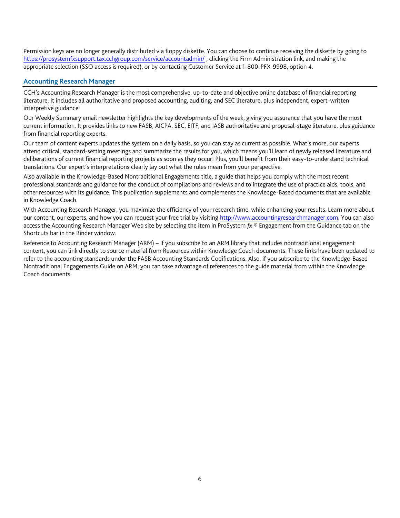Permission keys are no longer generally distributed via floppy diskette. You can choose to continue receiving the diskette by going to <https://prosystemfxsupport.tax.cchgroup.com/service/accountadmin/> , clicking the Firm Administration link, and making the appropriate selection (SSO access is required), or by contacting Customer Service at 1-800-PFX-9998, option 4.

## **Accounting Research Manager**

CCH's Accounting Research Manager is the most comprehensive, up-to-date and objective online database of financial reporting literature. It includes all authoritative and proposed accounting, auditing, and SEC literature, plus independent, expert-written interpretive guidance.

Our Weekly Summary email newsletter highlights the key developments of the week, giving you assurance that you have the most current information. It provides links to new FASB, AICPA, SEC, EITF, and IASB authoritative and proposal-stage literature, plus guidance from financial reporting experts.

Our team of content experts updates the system on a daily basis, so you can stay as current as possible. What's more, our experts attend critical, standard-setting meetings and summarize the results for you, which means you'll learn of newly released literature and deliberations of current financial reporting projects as soon as they occur! Plus, you'll benefit from their easy-to-understand technical translations. Our expert's interpretations clearly lay out what the rules mean from your perspective.

Also available in the Knowledge-Based Nontraditional Engagements title, a guide that helps you comply with the most recent professional standards and guidance for the conduct of compilations and reviews and to integrate the use of practice aids, tools, and other resources with its guidance. This publication supplements and complements the Knowledge-Based documents that are available in Knowledge Coach.

With Accounting Research Manager, you maximize the efficiency of your research time, while enhancing your results. Learn more about our content, our experts, and how you can request your free trial by visiting [http://www.accountingresearchmanager.com.](http://www.accountingresearchmanager.com/) You can also access the Accounting Research Manager Web site by selecting the item in ProSystem *fx* ® Engagement from the Guidance tab on the Shortcuts bar in the Binder window.

Reference to Accounting Research Manager (ARM) – If you subscribe to an ARM library that includes nontraditional engagement content, you can link directly to source material from Resources within Knowledge Coach documents. These links have been updated to refer to the accounting standards under the FASB Accounting Standards Codifications. Also, if you subscribe to the Knowledge-Based Nontraditional Engagements Guide on ARM, you can take advantage of references to the guide material from within the Knowledge Coach documents.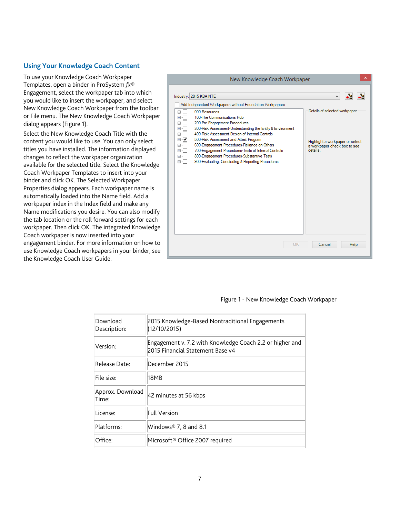# **Using Your Knowledge Coach Content**

To use your Knowledge Coach Workpaper Templates, open a binder in ProSystem *fx*® Engagement, select the workpaper tab into which you would like to insert the workpaper, and select New Knowledge Coach Workpaper from the toolbar or File menu. The New Knowledge Coach Workpaper dialog appears (Figure 1).

Select the New Knowledge Coach Title with the content you would like to use. You can only select titles you have installed. The information displayed changes to reflect the workpaper organization available for the selected title. Select the Knowledge Coach Workpaper Templates to insert into your binder and click OK. The Selected Workpaper Properties dialog appears. Each workpaper name is automatically loaded into the Name field. Add a workpaper index in the Index field and make any Name modifications you desire. You can also modify the tab location or the roll forward settings for each workpaper. Then click OK. The integrated Knowledge Coach workpaper is now inserted into your engagement binder. For more information on how to use Knowledge Coach workpapers in your binder, see the Knowledge Coach User Guide.

| ×<br>New Knowledge Coach Workpaper                                                                                                                                                                                                                                                                                                                                                                                                                                                                                                                                                                     |                                                                                                                         |  |
|--------------------------------------------------------------------------------------------------------------------------------------------------------------------------------------------------------------------------------------------------------------------------------------------------------------------------------------------------------------------------------------------------------------------------------------------------------------------------------------------------------------------------------------------------------------------------------------------------------|-------------------------------------------------------------------------------------------------------------------------|--|
| Industry: 2015 KBA NTE<br>Add Independent Workpapers without Foundation Workpapers<br>000-Resources<br>$+$<br>100-The Communications Hub<br>Ėŀ<br>200-Pre-Engagement Procedures<br>田<br>300-Risk Assessment-Understanding the Entity & Environment<br>Œŀ<br>400-Risk Assessment-Design of Internal Controls<br>由…<br>500-Risk Assessment and Attest Program<br>≘⊹I<br>600-Engagement Procedures-Reliance on Others<br>Ėŀ<br>700-Engagement Procedures-Tests of Internal Controls<br>÷ŀ<br>800-Engagement Procedures-Substantive Tests<br>Œŀ<br>900-Evaluating, Concluding & Reporting Procedures<br>由… | v<br>.ī.<br>Details of selected workpaper<br>Highlight a workpaper or select<br>a workpaper check box to see<br>details |  |
|                                                                                                                                                                                                                                                                                                                                                                                                                                                                                                                                                                                                        |                                                                                                                         |  |
| OK<br>Cancel<br>Help                                                                                                                                                                                                                                                                                                                                                                                                                                                                                                                                                                                   |                                                                                                                         |  |

#### Figure 1 - New Knowledge Coach Workpaper

| Download<br>Description:  | 2015 Knowledge-Based Nontraditional Engagements<br>(12/10/2015)                              |
|---------------------------|----------------------------------------------------------------------------------------------|
| Version:                  | Engagement v. 7.2 with Knowledge Coach 2.2 or higher and<br>2015 Financial Statement Base v4 |
| Release Date:             | December 2015                                                                                |
| File size:                | 18MB                                                                                         |
| Approx. Download<br>Time: | 42 minutes at 56 kbps                                                                        |
| License:                  | <b>Full Version</b>                                                                          |
| Platforms:                | Windows® 7, 8 and 8.1                                                                        |
| Office:                   | Microsoft® Office 2007 required                                                              |